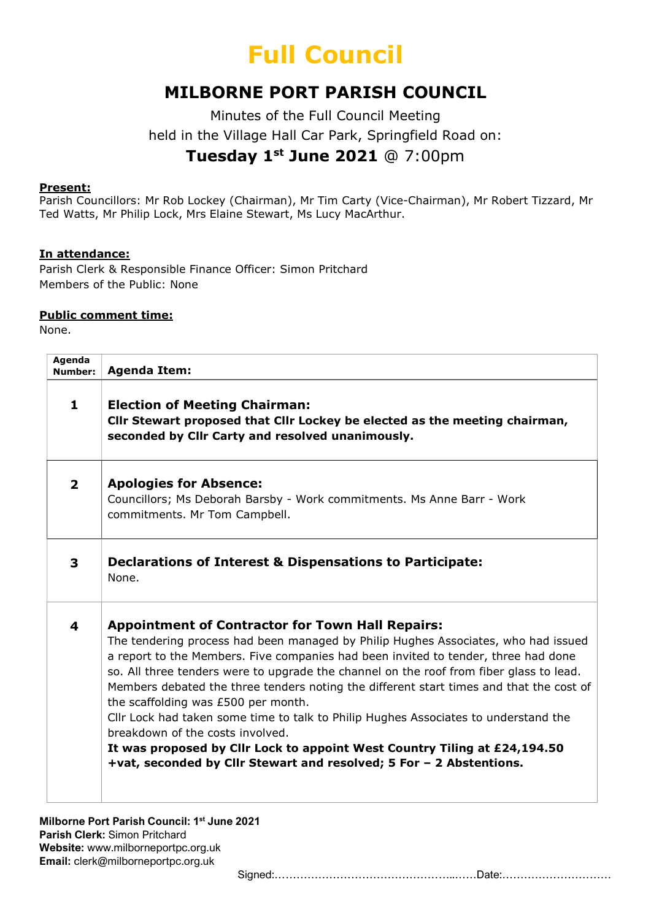## Full Council

### MILBORNE PORT PARISH COUNCIL

Minutes of the Full Council Meeting held in the Village Hall Car Park, Springfield Road on: Tuesday 1<sup>st</sup> June 2021 @ 7:00pm

#### Present:

Parish Councillors: Mr Rob Lockey (Chairman), Mr Tim Carty (Vice-Chairman), Mr Robert Tizzard, Mr Ted Watts, Mr Philip Lock, Mrs Elaine Stewart, Ms Lucy MacArthur.

#### In attendance:

Parish Clerk & Responsible Finance Officer: Simon Pritchard Members of the Public: None

#### Public comment time:

None.

| Agenda<br><b>Number:</b> | <b>Agenda Item:</b>                                                                                                                                                                                                                                                                                                                                                                                                                                                                                                                                                                                                                                                                                                                             |
|--------------------------|-------------------------------------------------------------------------------------------------------------------------------------------------------------------------------------------------------------------------------------------------------------------------------------------------------------------------------------------------------------------------------------------------------------------------------------------------------------------------------------------------------------------------------------------------------------------------------------------------------------------------------------------------------------------------------------------------------------------------------------------------|
| $\mathbf{1}$             | <b>Election of Meeting Chairman:</b><br>Cllr Stewart proposed that Cllr Lockey be elected as the meeting chairman,<br>seconded by Cllr Carty and resolved unanimously.                                                                                                                                                                                                                                                                                                                                                                                                                                                                                                                                                                          |
| $\overline{2}$           | <b>Apologies for Absence:</b><br>Councillors; Ms Deborah Barsby - Work commitments. Ms Anne Barr - Work<br>commitments. Mr Tom Campbell.                                                                                                                                                                                                                                                                                                                                                                                                                                                                                                                                                                                                        |
| 3                        | Declarations of Interest & Dispensations to Participate:<br>None.                                                                                                                                                                                                                                                                                                                                                                                                                                                                                                                                                                                                                                                                               |
| 4                        | <b>Appointment of Contractor for Town Hall Repairs:</b><br>The tendering process had been managed by Philip Hughes Associates, who had issued<br>a report to the Members. Five companies had been invited to tender, three had done<br>so. All three tenders were to upgrade the channel on the roof from fiber glass to lead.<br>Members debated the three tenders noting the different start times and that the cost of<br>the scaffolding was £500 per month.<br>Cllr Lock had taken some time to talk to Philip Hughes Associates to understand the<br>breakdown of the costs involved.<br>It was proposed by Cllr Lock to appoint West Country Tiling at £24,194.50<br>+vat, seconded by Cllr Stewart and resolved; 5 For - 2 Abstentions. |

Milborne Port Parish Council: 1<sup>st</sup> June 2021 Parish Clerk: Simon Pritchard Website: www.milborneportpc.org.uk Email: clerk@milborneportpc.org.uk

Signed:…………………………………………..……Date:…………………………